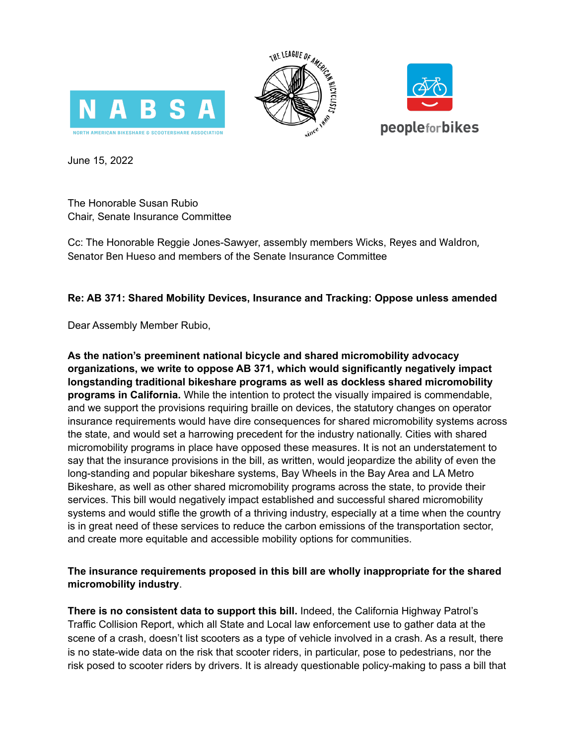





June 15, 2022

The Honorable Susan Rubio Chair, Senate Insurance Committee

Cc: The Honorable Reggie Jones-Sawyer, assembly members Wicks, Reyes and Waldron, Senator Ben Hueso and members of the Senate Insurance Committee

## **Re: AB 371: Shared Mobility Devices, Insurance and Tracking: Oppose unless amended**

Dear Assembly Member Rubio,

**As the nation's preeminent national bicycle and shared micromobility advocacy organizations, we write to oppose AB 371, which would significantly negatively impact longstanding traditional bikeshare programs as well as dockless shared micromobility programs in California.** While the intention to protect the visually impaired is commendable, and we support the provisions requiring braille on devices, the statutory changes on operator insurance requirements would have dire consequences for shared micromobility systems across the state, and would set a harrowing precedent for the industry nationally. Cities with shared micromobility programs in place have opposed these measures. It is not an understatement to say that the insurance provisions in the bill, as written, would jeopardize the ability of even the long-standing and popular bikeshare systems, Bay Wheels in the Bay Area and LA Metro Bikeshare, as well as other shared micromobility programs across the state, to provide their services. This bill would negatively impact established and successful shared micromobility systems and would stifle the growth of a thriving industry, especially at a time when the country is in great need of these services to reduce the carbon emissions of the transportation sector, and create more equitable and accessible mobility options for communities.

## **The insurance requirements proposed in this bill are wholly inappropriate for the shared micromobility industry**.

**There is no consistent data to support this bill.** Indeed, the California Highway Patrol's Traffic Collision Report, which all State and Local law enforcement use to gather data at the scene of a crash, doesn't list scooters as a type of vehicle involved in a crash. As a result, there is no state-wide data on the risk that scooter riders, in particular, pose to pedestrians, nor the risk posed to scooter riders by drivers. It is already questionable policy-making to pass a bill that